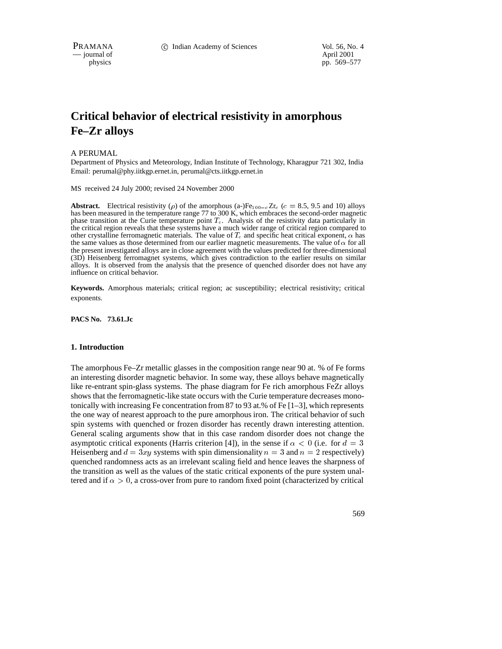$-$  journal of

physics pp. 569–577

# **Critical behavior of electrical resistivity in amorphous Fe–Zr alloys**

### A PERUMAL

Department of Physics and Meteorology, Indian Institute of Technology, Kharagpur 721 302, India Email: perumal@phy.iitkgp.ernet.in, perumal@cts.iitkgp.ernet.in

MS received 24 July 2000; revised 24 November 2000

**Abstract.** Electrical resistivity ( $\rho$ ) of the amorphous (a-)Fe<sub>100</sub>- $cZr_c$  ( $c = 8.5$ , 9.5 and 10) alloys has been measured in the temperature range 77 to 300 K, which embraces the second-order magnetic phase transition at the Curie temperature point  $T_c$ . Analysis of the resistivity data particularly in the critical region reveals that these systems have a much wider range of critical region compared to other crystalline ferromagnetic materials. The value of  $T_c$  and specific heat critical exponent,  $\alpha$  has the same values as those determined from our earlier magnetic measurements. The value of  $\alpha$  for all the present investigated alloys are in close agreement with the values predicted for three-dimensional (3D) Heisenberg ferromagnet systems, which gives contradiction to the earlier results on similar alloys. It is observed from the analysis that the presence of quenched disorder does not have any influence on critical behavior.

**Keywords.** Amorphous materials; critical region; ac susceptibility; electrical resistivity; critical exponents.

**PACS No. 73.61.Jc**

#### **1. Introduction**

The amorphous Fe–Zr metallic glasses in the composition range near 90 at. % of Fe forms an interesting disorder magnetic behavior. In some way, these alloys behave magnetically like re-entrant spin-glass systems. The phase diagram for Fe rich amorphous FeZr alloys shows that the ferromagnetic-like state occurs with the Curie temperature decreases monotonically with increasing Fe concentration from 87 to 93 at.% of Fe [1–3], which represents the one way of nearest approach to the pure amorphous iron. The critical behavior of such spin systems with quenched or frozen disorder has recently drawn interesting attention. General scaling arguments show that in this case random disorder does not change the asymptotic critical exponents (Harris criterion [4]), in the sense if  $\alpha < 0$  (i.e. for  $d = 3$ Heisenberg and  $d = 3xy$  systems with spin dimensionality  $n = 3$  and  $n = 2$  respectively) quenched randomness acts as an irrelevant scaling field and hence leaves the sharpness of the transition as well as the values of the static critical exponents of the pure system unaltered and if  $\alpha > 0$ , a cross-over from pure to random fixed point (characterized by critical

569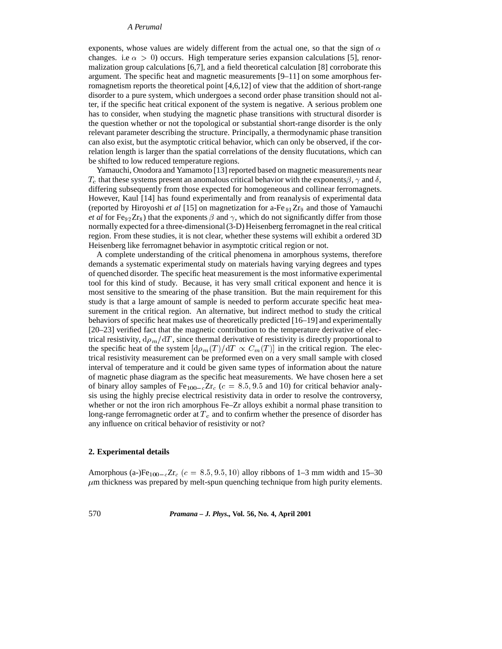#### *A Perumal*

exponents, whose values are widely different from the actual one, so that the sign of  $\alpha$ changes. i.e  $\alpha > 0$ ) occurs. High temperature series expansion calculations [5], renormalization group calculations [6,7], and a field theoretical calculation [8] corroborate this argument. The specific heat and magnetic measurements [9–11] on some amorphous ferromagnetism reports the theoretical point [4,6,12] of view that the addition of short-range disorder to a pure system, which undergoes a second order phase transition should not alter, if the specific heat critical exponent of the system is negative. A serious problem one has to consider, when studying the magnetic phase transitions with structural disorder is the question whether or not the topological or substantial short-range disorder is the only relevant parameter describing the structure. Principally, a thermodynamic phase transition can also exist, but the asymptotic critical behavior, which can only be observed, if the correlation length is larger than the spatial correlations of the density flucutations, which can be shifted to low reduced temperature regions.

Yamauchi, Onodora and Yamamoto [13] reported based on magnetic measurements near  $T_c$  that these systems present an anomalous critical behavior with the exponents  $\beta$ ,  $\gamma$  and  $\delta$ , differing subsequently from those expected for homogeneous and collinear ferromagnets. However, Kaul [14] has found experimentally and from reanalysis of experimental data (reported by Hiroyoshi *et al* [15] on magnetization for a-Fe  $_{91}Zr_9$  and those of Yamauchi *et al* for Fe<sub>92</sub>Z<sub>r<sub>8</sub></sub>) that the exponents  $\beta$  and  $\gamma$ , which do not significantly differ from those normally expected for a three-dimensional (3-D) Heisenberg ferromagnet in the real critical region. From these studies, it is not clear, whether these systems will exhibit a ordered 3D Heisenberg like ferromagnet behavior in asymptotic critical region or not.

A complete understanding of the critical phenomena in amorphous systems, therefore demands a systematic experimental study on materials having varying degrees and types of quenched disorder. The specific heat measurement is the most informative experimental tool for this kind of study. Because, it has very small critical exponent and hence it is most sensitive to the smearing of the phase transition. But the main requirement for this study is that a large amount of sample is needed to perform accurate specific heat measurement in the critical region. An alternative, but indirect method to study the critical behaviors of specific heat makes use of theoretically predicted [16–19] and experimentally [20–23] verified fact that the magnetic contribution to the temperature derivative of electrical resistivity,  $d\rho_m/dT$ , since thermal derivative of resistivity is directly proportional to the specific heat of the system  $\left[\mathrm{d}\rho_m(T)/\mathrm{d}T \propto C_m(T)\right]$  in the critical region. The electrical resistivity measurement can be preformed even on a very small sample with closed interval of temperature and it could be given same types of information about the nature of magnetic phase diagram as the specific heat measurements. We have chosen here a set of binary alloy samples of  $Fe_{100-c}Zr_c$  ( $c = 8.5, 9.5$  and 10) for critical behavior analysis using the highly precise electrical resistivity data in order to resolve the controversy, whether or not the iron rich amorphous Fe–Zr alloys exhibit a normal phase transition to long-range ferromagnetic order at  $T_c$  and to confirm whether the presence of disorder has any influence on critical behavior of resistivity or not?

### **2. Experimental details**

Amorphous (a-)Fe<sub>100-c</sub>Zr<sub>c</sub> (c = 8.5, 9.5, 10) alloy ribbons of 1–3 mm width and 15–30  $\mu$ m thickness was prepared by melt-spun quenching technique from high purity elements.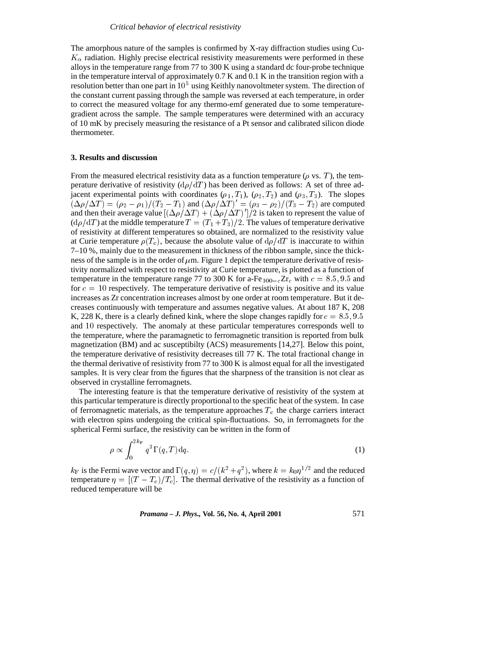The amorphous nature of the samples is confirmed by X-ray diffraction studies using Cu- $K_{\alpha}$  radiation. Highly precise electrical resistivity measurements were performed in these alloys in the temperature range from 77 to 300 K using a standard dc four-probe technique in the temperature interval of approximately 0.7 K and 0.1 K in the transition region with a resolution better than one part in  $10<sup>5</sup>$  using Keithly nanovoltmeter system. The direction of the constant current passing through the sample was reversed at each temperature, in order to correct the measured voltage for any thermo-emf generated due to some temperaturegradient across the sample. The sample temperatures were determined with an accuracy of 10 mK by precisely measuring the resistance of a Pt sensor and calibrated silicon diode thermometer.

#### **3. Results and discussion**

From the measured electrical resistivity data as a function temperature ( $\rho$  vs. T), the temperature derivative of resistivity  $(d\rho/dT)$  has been derived as follows: A set of three adjacent experimental points with coordinates  $(\rho_1, T_1)$ ,  $(\rho_2, T_2)$  and  $(\rho_3, T_3)$ . The slopes  $(\Delta \rho/\Delta T) = (\rho_2 - \rho_1)/(T_2 - T_1)$  and  $(\Delta \rho/\Delta T)' = (\rho_3 - \rho_2)/(T_3 - T_2)$  are computed and then their average value  $[(\Delta \rho / \Delta T) + (\Delta \rho / \Delta T)']/2$  is taken to represent the value of  $(d\rho/dT)$  at the middle temperature  $T = (T_1 + T_3)/2$ . The values of temperature derivative of resistivity at different temperatures so obtained, are normalized to the resistivity value at Curie temperature  $\rho(T_c)$ , because the absolute value of  $d\rho/dT$  is inaccurate to within 7–10 %, mainly due to the measurement in thickness of the ribbon sample, since the thickness of the sample is in the order of  $\mu$ m. Figure 1 depict the temperature derivative of resistivity normalized with respect to resistivity at Curie temperature, is plotted as a function of temperature in the temperature range 77 to 300 K for a-Fe  $_{100-c}Zr_c$  with  $c = 8.5, 9.5$  and for  $c = 10$  respectively. The temperature derivative of resistivity is positive and its value increases as Zr concentration increases almost by one order at room temperature. But it decreases continuously with temperature and assumes negative values. At about 187 K, 208 K, 228 K, there is a clearly defined kink, where the slope changes rapidly for  $c = 8.5, 9.5$ and <sup>10</sup> respectively. The anomaly at these particular temperatures corresponds well to the temperature, where the paramagnetic to ferromagnetic transition is reported from bulk magnetization (BM) and ac susceptibilty (ACS) measurements [14,27]. Below this point, the temperature derivative of resistivity decreases till 77 K. The total fractional change in the thermal derivative of resistivity from 77 to 300 K is almost equal for all the investigated samples. It is very clear from the figures that the sharpness of the transition is not clear as observed in crystalline ferromagnets.

The interesting feature is that the temperature derivative of resistivity of the system at this particular temperature is directly proportional to the specific heat of the system. In case of ferromagnetic materials, as the temperature approaches  $T_c$  the charge carriers interact with electron spins undergoing the critical spin-fluctuations. So, in ferromagnets for the spherical Fermi surface, the resistivity can be written in the form of

$$
\rho \propto \int_0^{2k_{\rm F}} q^3 \Gamma(q, T) \mathrm{d}q. \tag{1}
$$

 $k_F$  is the Fermi wave vector and  $\Gamma(q, \eta) = c/(k^2 + q^2)$ , where  $k = k_0 \eta^{1/2}$  and the reduced temperature  $\eta = [(T - T_c)/T_c]$ . The thermal derivative of the resistivity as a function of reduced temperature will be

*Pramana – J. Phys.,* **Vol. 56, No. 4, April 2001** 571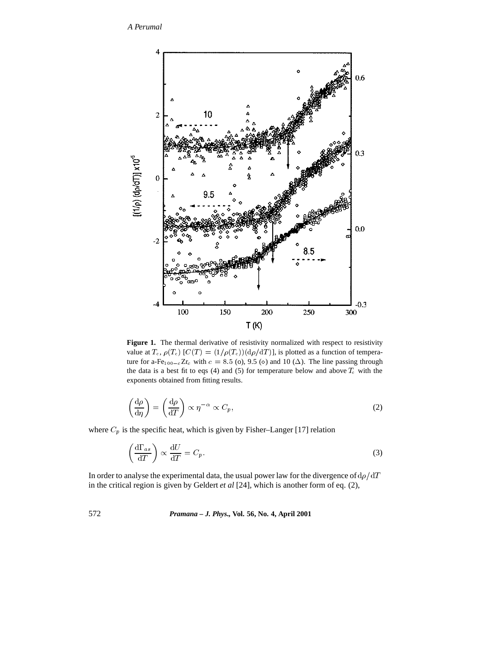*A Perumal*



Figure 1. The thermal derivative of resistivity normalized with respect to resistivity value at  $T_c$ ,  $\rho(T_c)$  [ $C(T) = (1/\rho(T_c))(\frac{d\rho}{dT})$ ], is plotted as a function of temperature for a-Fe<sub>100-c</sub>Zr<sub>c</sub> with  $c = 8.5$  (o), 9.5 ( $\diamond$ ) and 10 ( $\triangle$ ). The line passing through the data is a best fit to eqs (4) and (5) for temperature below and above  $T_c$  with the exponents obtained from fitting results.

$$
\left(\frac{\mathrm{d}\rho}{\mathrm{d}\eta}\right) = \left(\frac{\mathrm{d}\rho}{\mathrm{d}T}\right) \propto \eta^{-\alpha} \propto C_p,\tag{2}
$$

where  $C_p$  is the specific heat, which is given by Fisher–Langer [17] relation

$$
\left(\frac{\mathrm{d}\Gamma_{as}}{\mathrm{d}T}\right) \propto \frac{\mathrm{d}U}{\mathrm{d}T} = C_p. \tag{3}
$$

In order to analyse the experimental data, the usual power law for the divergence of  $d\rho/dT$ in the critical region is given by Geldert *et al* [24], which is another form of eq. (2),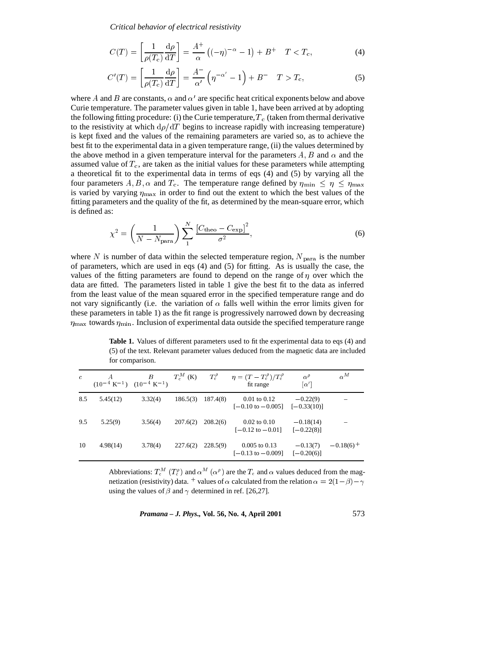*Critical behavior of electrical resistivity*

$$
C(T) = \left[\frac{1}{\rho(T_{\rm c})}\frac{\mathrm{d}\rho}{\mathrm{d}T}\right] = \frac{A^+}{\alpha}\left((- \eta)^{-\alpha} - 1\right) + B^+ \quad T < T_{\rm c},\tag{4}
$$

$$
C'(T) = \left[\frac{1}{\rho(T_c)}\frac{\mathrm{d}\rho}{\mathrm{d}T}\right] = \frac{A^-}{\alpha'}\left(\eta^{-\alpha'}-1\right) + B^- \quad T > T_c,\tag{5}
$$

where A and B are constants,  $\alpha$  and  $\alpha'$  are specific heat critical exponents below and above Curie temperature. The parameter values given in table 1, have been arrived at by adopting the following fitting procedure: (i) the Curie temperature,  $T_c$  (taken from thermal derivative to the resistivity at which  $d\rho/dT$  begins to increase rapidly with increasing temperature) is kept fixed and the values of the remaining parameters are varied so, as to achieve the best fit to the experimental data in a given temperature range, (ii) the values determined by the above method in a given temperature interval for the parameters  $A, B$  and  $\alpha$  and the assumed value of  $T_c$ , are taken as the initial values for these parameters while attempting a theoretical fit to the experimental data in terms of eqs (4) and (5) by varying all the four parameters A, B,  $\alpha$  and T<sub>c</sub>. The temperature range defined by  $\eta_{\min} \leq \eta \leq \eta_{\max}$ is varied by varying  $\eta_{\text{max}}$  in order to find out the extent to which the best values of the fitting parameters and the quality of the fit, as determined by the mean-square error, which is defined as:

$$
\chi^2 = \left(\frac{1}{N - N_{\text{para}}}\right) \sum_{1}^{N} \frac{\left[C_{\text{theo}} - C_{\text{exp}}\right]^2}{\sigma^2},\tag{6}
$$

where N is number of data within the selected temperature region,  $N_{\text{para}}$  is the number of parameters, which are used in eqs (4) and (5) for fitting. As is usually the case, the values of the fitting parameters are found to depend on the range of  $\eta$  over which the data are fitted. The parameters listed in table 1 give the best fit to the data as inferred from the least value of the mean squared error in the specified temperature range and do not vary significantly (i.e. the variation of  $\alpha$  falls well within the error limits given for these parameters in table 1) as the fit range is progressively narrowed down by decreasing  $\eta_{\text{max}}$  towards  $\eta_{\text{min}}$ . Inclusion of experimental data outside the specified temperature range

**Table 1.** Values of different parameters used to fit the experimental data to eqs (4) and (5) of the text. Relevant parameter values deduced from the magnetic data are included for comparison.

| $\epsilon$ | $(10^{-4} \text{ K}^{-1})$ $(10^{-4} \text{ K}^{-1})$ | В       | $T_c^M$ (K) | $T_c^{\rho}$ | $\eta = (T-T_c^{\rho})/T_c^{\rho}$<br>fit range        | $\alpha^{\rho}$<br>$\lceil \alpha' \rceil$ | $\alpha^M$              |
|------------|-------------------------------------------------------|---------|-------------|--------------|--------------------------------------------------------|--------------------------------------------|-------------------------|
| 8.5        | 5.45(12)                                              | 3.32(4) | 186.5(3)    | 187.4(8)     | $0.01$ to $0.12$<br>$[-0.10 \text{ to } -0.005]$       | $-0.22(9)$<br>$[-0.33(10)]$                |                         |
| 9.5        | 5.25(9)                                               | 3.56(4) | 207.6(2)    | 208.2(6)     | $0.02 \text{ to } 0.10$<br>$[-0.12 \text{ to } -0.01]$ | $-0.18(14)$<br>$[-0.22(8)]$                |                         |
| 10         | 4.98(14)                                              | 3.78(4) | 227.6(2)    | 228.5(9)     | $0.005$ to $0.13$<br>$[-0.13 \text{ to } -0.009]$      | $-0.13(7)$<br>$[-0.20(6)]$                 | $-0.18(6)$ <sup>+</sup> |

Abbreviations:  $T_c^M$   $(T_c^{\rho})$  and  $\alpha^M$   $(\alpha^{\rho})$  are the  $T_c$  and  $\alpha$  values deduced from the magnetization (resistivity) data. <sup>+</sup> values of  $\alpha$  calculated from the relation  $\alpha = 2(1-\beta)-\gamma$ using the values of  $\beta$  and  $\gamma$  determined in ref. [26,27].

*Pramana – J. Phys.,* **Vol. 56, No. 4, April 2001** 573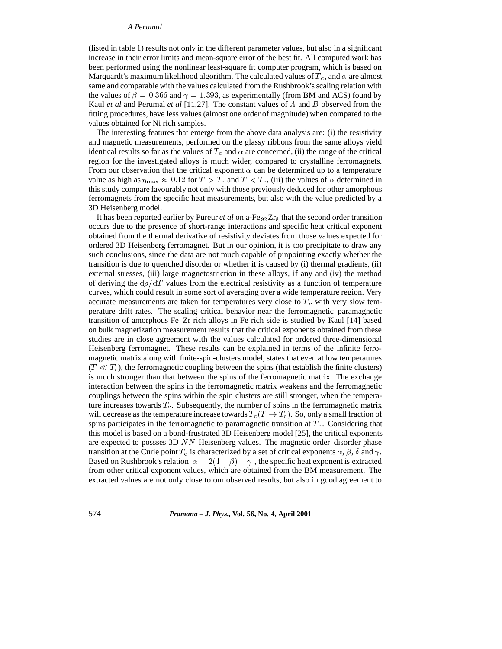#### *A Perumal*

(listed in table 1) results not only in the different parameter values, but also in a significant increase in their error limits and mean-square error of the best fit. All computed work has been performed using the nonlinear least-square fit computer program, which is based on Marquardt's maximum likelihood algorithm. The calculated values of  $T_c$ , and  $\alpha$  are almost same and comparable with the values calculated from the Rushbrook's scaling relation with the values of  $\beta = 0.366$  and  $\gamma = 1.393$ , as experimentally (from BM and ACS) found by Kaul *et al* and Perumal *et al* [11,27]. The constant values of A and B observed from the fitting procedures, have less values (almost one order of magnitude) when compared to the values obtained for Ni rich samples.

The interesting features that emerge from the above data analysis are: (i) the resistivity and magnetic measurements, performed on the glassy ribbons from the same alloys yield identical results so far as the values of  $T_c$  and  $\alpha$  are concerned, (ii) the range of the critical region for the investigated alloys is much wider, compared to crystalline ferromagnets. From our observation that the critical exponent  $\alpha$  can be determined up to a temperature value as high as  $\eta_{\text{max}} \approx 0.12$  for  $T > T_c$  and  $T < T_c$ , (iii) the values of  $\alpha$  determined in this study compare favourably not only with those previously deduced for other amorphous ferromagnets from the specific heat measurements, but also with the value predicted by a 3D Heisenberg model.

It has been reported earlier by Pureur *et al* on a-Fe  $_{92}Zr_8$  that the second order transition occurs due to the presence of short-range interactions and specific heat critical exponent obtained from the thermal derivative of resistivity deviates from those values expected for ordered 3D Heisenberg ferromagnet. But in our opinion, it is too precipitate to draw any such conclusions, since the data are not much capable of pinpointing exactly whether the transition is due to quenched disorder or whether it is caused by (i) thermal gradients, (ii) external stresses, (iii) large magnetostriction in these alloys, if any and (iv) the method of deriving the  $d\rho/dT$  values from the electrical resistivity as a function of temperature curves, which could result in some sort of averaging over a wide temperature region. Very accurate measurements are taken for temperatures very close to  $T_c$  with very slow temperature drift rates. The scaling critical behavior near the ferromagnetic–paramagnetic transition of amorphous Fe–Zr rich alloys in Fe rich side is studied by Kaul [14] based on bulk magnetization measurement results that the critical exponents obtained from these studies are in close agreement with the values calculated for ordered three-dimensional Heisenberg ferromagnet. These results can be explained in terms of the infinite ferromagnetic matrix along with finite-spin-clusters model, states that even at low temperatures  $(T \ll T_c)$ , the ferromagnetic coupling between the spins (that establish the finite clusters) is much stronger than that between the spins of the ferromagnetic matrix. The exchange interaction between the spins in the ferromagnetic matrix weakens and the ferromagnetic couplings between the spins within the spin clusters are still stronger, when the temperature increases towards  $T_c$ . Subsequently, the number of spins in the ferromagnetic matrix will decrease as the temperature increase towards  $T_c(T \to T_c)$ . So, only a small fraction of spins participates in the ferromagnetic to paramagnetic transition at  $T_c$ . Considering that this model is based on a bond-frustrated 3D Heisenberg model [25], the critical exponents are expected to possses 3D NN Heisenberg values. The magnetic order–disorder phase transition at the Curie point T<sub>c</sub> is characterized by a set of critical exponents  $\alpha$ ,  $\beta$ ,  $\delta$  and  $\gamma$ . Based on Rushbrook's relation  $\alpha = 2(1 - \beta) - \gamma$ , the specific heat exponent is extracted from other critical exponent values, which are obtained from the BM measurement. The extracted values are not only close to our observed results, but also in good agreement to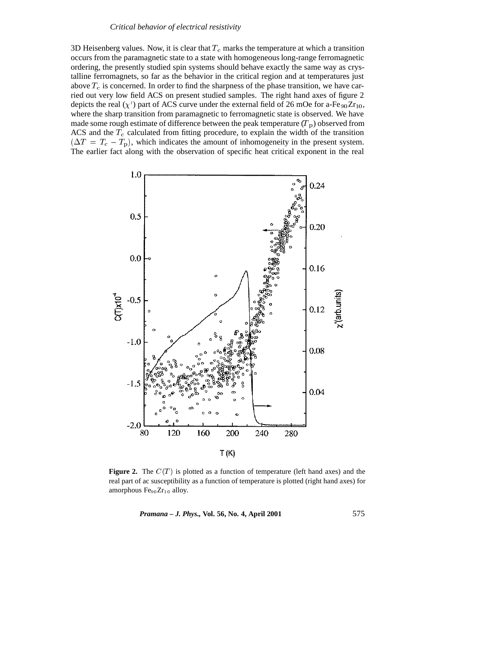#### *Critical behavior of electrical resistivity*

3D Heisenberg values. Now, it is clear that  $T_c$  marks the temperature at which a transition occurs from the paramagnetic state to a state with homogeneous long-range ferromagnetic ordering, the presently studied spin systems should behave exactly the same way as crystalline ferromagnets, so far as the behavior in the critical region and at temperatures just above  $T_c$  is concerned. In order to find the sharpness of the phase transition, we have carried out very low field ACS on present studied samples. The right hand axes of figure 2 depicts the real ( $\chi'$ ) part of ACS curve under the external field of 26 mOe for a-Fe  $_{90}Zr_{10}$ , where the sharp transition from paramagnetic to ferromagnetic state is observed. We have made some rough estimate of difference between the peak temperature  $(T_p)$  observed from ACS and the  $T_c$  calculated from fitting procedure, to explain the width of the transition  $(\Delta T = T_c - T_p)$ , which indicates the amount of inhomogeneity in the present system. The earlier fact along with the observation of specific heat critical exponent in the real



**Figure 2.** The  $C(T)$  is plotted as a function of temperature (left hand axes) and the real part of ac susceptibility as a function of temperature is plotted (right hand axes) for amorphous Fe<sub>90</sub>Zr<sub>10</sub> alloy.

*Pramana – J. Phys.,* **Vol. 56, No. 4, April 2001** 575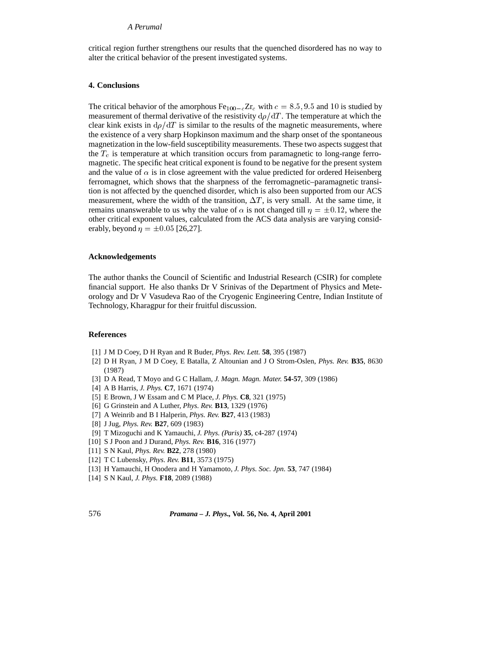## *A Perumal*

critical region further strengthens our results that the quenched disordered has no way to alter the critical behavior of the present investigated systems.

## **4. Conclusions**

The critical behavior of the amorphous  $Fe_{100-c}Zr_c$  with  $c = 8.5$ , 9.5 and 10 is studied by measurement of thermal derivative of the resistivity  $d\rho/dT$ . The temperature at which the clear kink exists in  $d\rho/dT$  is similar to the results of the magnetic measurements, where the existence of a very sharp Hopkinson maximum and the sharp onset of the spontaneous magnetization in the low-field susceptibility measurements. These two aspects suggest that the  $T_c$  is temperature at which transition occurs from paramagnetic to long-range ferromagnetic. The specific heat critical exponent is found to be negative for the present system and the value of  $\alpha$  is in close agreement with the value predicted for ordered Heisenberg ferromagnet, which shows that the sharpness of the ferromagnetic–paramagnetic transition is not affected by the quenched disorder, which is also been supported from our ACS measurement, where the width of the transition,  $\Delta T$ , is very small. At the same time, it remains unanswerable to us why the value of  $\alpha$  is not changed till  $\eta = \pm 0.12$ , where the other critical exponent values, calculated from the ACS data analysis are varying considerably, beyond  $\eta = \pm 0.05$  [26,27].

#### **Acknowledgements**

The author thanks the Council of Scientific and Industrial Research (CSIR) for complete financial support. He also thanks Dr V Srinivas of the Department of Physics and Meteorology and Dr V Vasudeva Rao of the Cryogenic Engineering Centre, Indian Institute of Technology, Kharagpur for their fruitful discussion.

#### **References**

- [1] J M D Coey, D H Ryan and R Buder, *Phys. Rev. Lett.* **58**, 395 (1987)
- [2] D H Ryan, J M D Coey, E Batalla, Z Altounian and J O Strom-Oslen, *Phys. Rev.* **B35**, 8630 (1987)
- [3] D A Read, T Moyo and G C Hallam, *J. Magn. Magn. Mater.* **54-57**, 309 (1986)
- [4] A B Harris, *J. Phys.* **C7**, 1671 (1974)
- [5] E Brown, J W Essam and C M Place, *J. Phys.* **C8**, 321 (1975)
- [6] G Grinstein and A Luther, *Phys. Rev.* **B13**, 1329 (1976)
- [7] A Weinrib and B I Halperin, *Phys. Rev.* **B27**, 413 (1983)
- [8] J Jug, *Phys. Rev.* **B27**, 609 (1983)
- [9] T Mizoguchi and K Yamauchi, *J. Phys. (Paris)* **35**, c4-287 (1974)
- [10] S J Poon and J Durand, *Phys. Rev.* **B16**, 316 (1977)
- [11] S N Kaul, *Phys. Rev.* **B22**, 278 (1980)
- [12] T C Lubensky, *Phys. Rev.* **B11**, 3573 (1975)
- [13] H Yamauchi, H Onodera and H Yamamoto, *J. Phys. Soc. Jpn.* **53**, 747 (1984)
- [14] S N Kaul, *J. Phys.* **F18**, 2089 (1988)